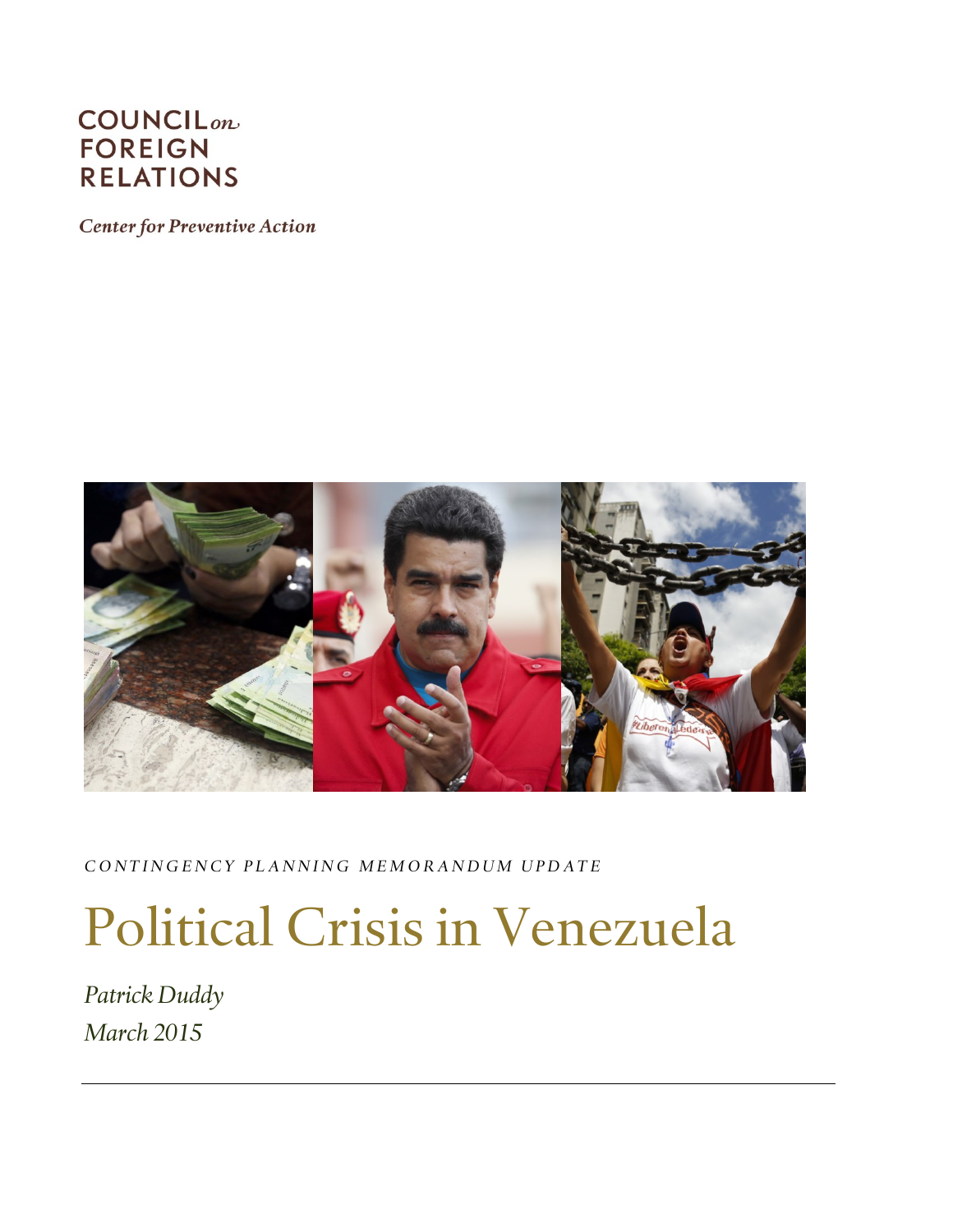# **COUNCIL**<sub>on</sub> **FOREIGN RELATIONS**

**Center for Preventive Action** 



*C O N T I N G E N C Y P L A N N I N G M E M O R A N D U M U P D A T E*

# Political Crisis in Venezuela

*Patrick Duddy March 2015*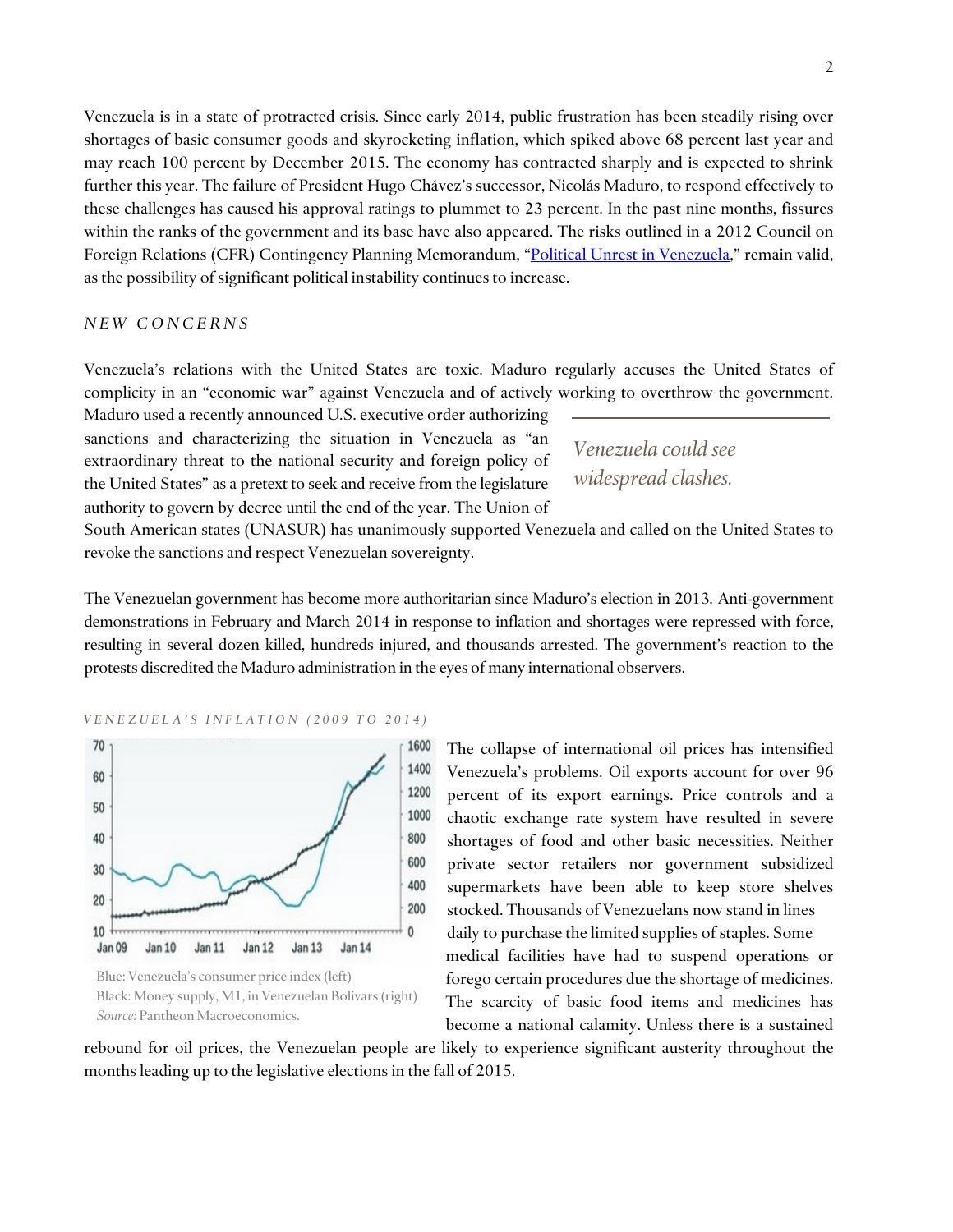Venezuela is in a state of protracted crisis. Since early 2014, public frustration has been steadily rising over shortages of basic consumer goods and skyrocketing inflation, which spiked above 68 percent last year and may reach 100 percent by December 2015. The economy has contracted sharply and is expected to shrink further this year. The failure of President Hugo Chávez's successor, Nicolás Maduro, to respond effectively to these challenges has caused his approval ratings to plummet to 23 percent. In the past nine months, fissures within the ranks of the government and its base have also appeared. The risks outlined in a 2012 Council on Foreign Relations (CFR) Contingency Planning Memorandum, "[Political Unrest in Venezuela](http://www.cfr.org/venezuela/political-unrest-venezuela/p28936)," remain valid, as the possibility of significant political instability continues to increase.

#### *N E W C O N C E R N S*

Venezuela's relations with the United States are toxic. Maduro regularly accuses the United States of complicity in an "economic war" against Venezuela and of actively working to overthrow the government.

Maduro used a recently announced U.S. executive order authorizing sanctions and characterizing the situation in Venezuela as "an extraordinary threat to the national security and foreign policy of the United States" as a pretext to seek and receive from the legislature authority to govern by decree until the end of the year. The Union of

*Venezuela could see widespread clashes.*

South American states (UNASUR) has unanimously supported Venezuela and called on the United States to revoke the sanctions and respect Venezuelan sovereignty.

The Venezuelan government has become more authoritarian since Maduro's election in 2013. Anti-government demonstrations in February and March 2014 in response to inflation and shortages were repressed with force, resulting in several dozen killed, hundreds injured, and thousands arrested. The government's reaction to the protests discredited the Maduro administration in the eyes of many international observers.

*V E N E Z U E L A ' S I N F L A T I O N ( 2 0 0 9 T O 2 0 1 4 )*



Blue: Venezuela's consumer price index (left) Black: Money supply, M1, in Venezuelan Bolivars (right) *Source:* Pantheon Macroeconomics.

The collapse of international oil prices has intensified Venezuela's problems. Oil exports account for over 96 percent of its export earnings. Price controls and a chaotic exchange rate system have resulted in severe shortages of food and other basic necessities. Neither private sector retailers nor government subsidized supermarkets have been able to keep store shelves stocked. Thousands of Venezuelans now stand in lines daily to purchase the limited supplies of staples. Some medical facilities have had to suspend operations or forego certain procedures due the shortage of medicines. The scarcity of basic food items and medicines has become a national calamity. Unless there is a sustained

rebound for oil prices, the Venezuelan people are likely to experience significant austerity throughout the months leading up to the legislative elections in the fall of 2015.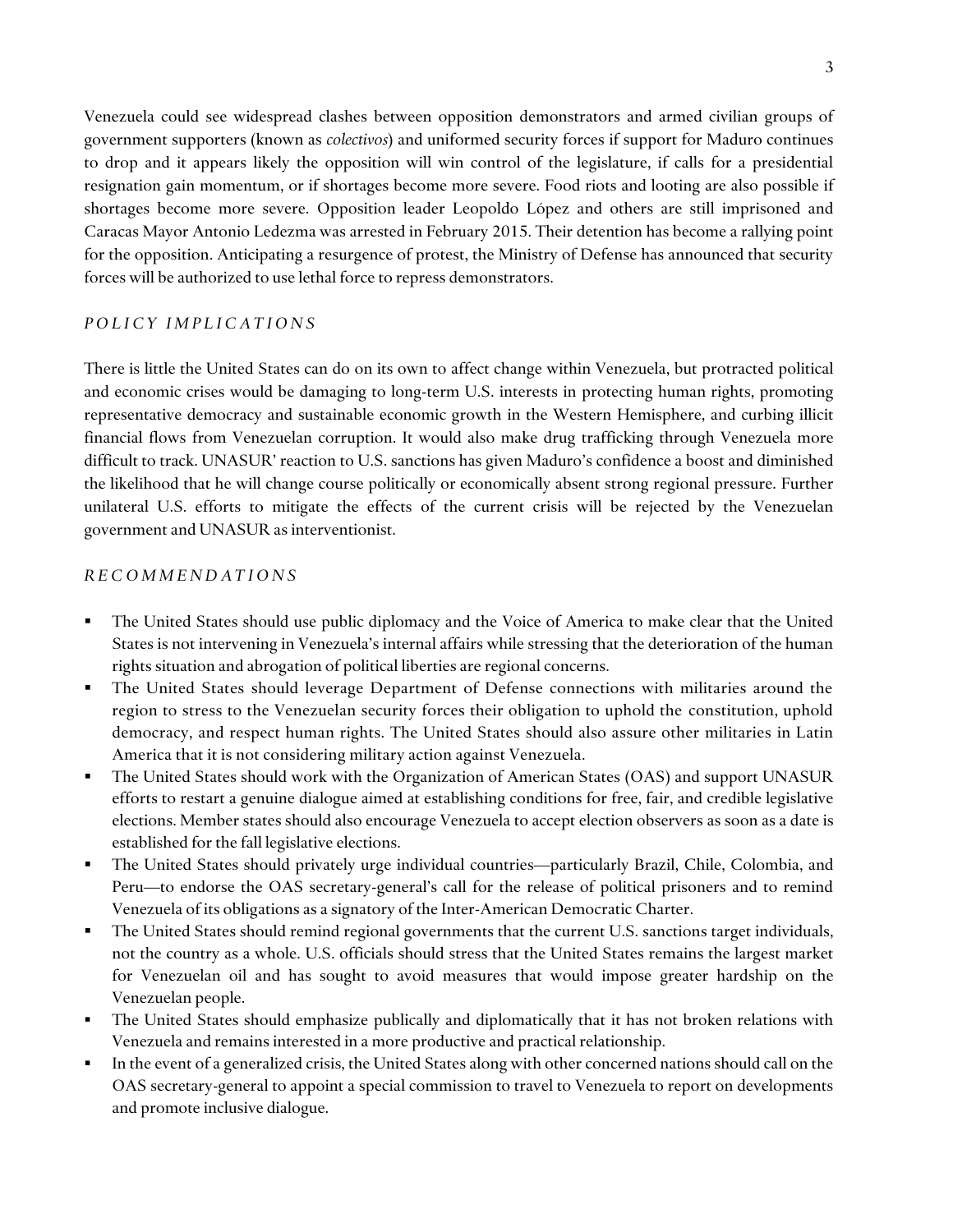Venezuela could see widespread clashes between opposition demonstrators and armed civilian groups of government supporters (known as *colectivos*) and uniformed security forces if support for Maduro continues to drop and it appears likely the opposition will win control of the legislature, if calls for a presidential resignation gain momentum, or if shortages become more severe. Food riots and looting are also possible if shortages become more severe. Opposition leader Leopoldo López and others are still imprisoned and Caracas Mayor Antonio Ledezma was arrested in February 2015. Their detention has become a rallying point for the opposition. Anticipating a resurgence of protest, the Ministry of Defense has announced that security forces will be authorized to use lethal force to repress demonstrators.

## *POLICY IMPLICATIONS*

There is little the United States can do on its own to affect change within Venezuela, but protracted political and economic crises would be damaging to long-term U.S. interests in protecting human rights, promoting representative democracy and sustainable economic growth in the Western Hemisphere, and curbing illicit financial flows from Venezuelan corruption. It would also make drug trafficking through Venezuela more difficult to track. UNASUR' reaction to U.S. sanctions has given Maduro's confidence a boost and diminished the likelihood that he will change course politically or economically absent strong regional pressure. Further unilateral U.S. efforts to mitigate the effects of the current crisis will be rejected by the Venezuelan government and UNASUR as interventionist.

### *R E C O M M E N D A T I O N S*

- The United States should use public diplomacy and the Voice of America to make clear that the United States is not intervening in Venezuela's internal affairs while stressing that the deterioration of the human rights situation and abrogation of political liberties are regional concerns.
- The United States should leverage Department of Defense connections with militaries around the region to stress to the Venezuelan security forces their obligation to uphold the constitution, uphold democracy, and respect human rights. The United States should also assure other militaries in Latin America that it is not considering military action against Venezuela.
- The United States should work with the Organization of American States (OAS) and support UNASUR efforts to restart a genuine dialogue aimed at establishing conditions for free, fair, and credible legislative elections. Member states should also encourage Venezuela to accept election observers as soon as a date is established for the fall legislative elections.
- The United States should privately urge individual countries—particularly Brazil, Chile, Colombia, and Peru—to endorse the OAS secretary-general's call for the release of political prisoners and to remind Venezuela of its obligations as a signatory of the Inter-American Democratic Charter.
- The United States should remind regional governments that the current U.S. sanctions target individuals, not the country as a whole. U.S. officials should stress that the United States remains the largest market for Venezuelan oil and has sought to avoid measures that would impose greater hardship on the Venezuelan people.
- The United States should emphasize publically and diplomatically that it has not broken relations with Venezuela and remains interested in a more productive and practical relationship.
- In the event of a generalized crisis, the United States along with other concerned nations should call on the OAS secretary-general to appoint a special commission to travel to Venezuela to report on developments and promote inclusive dialogue.